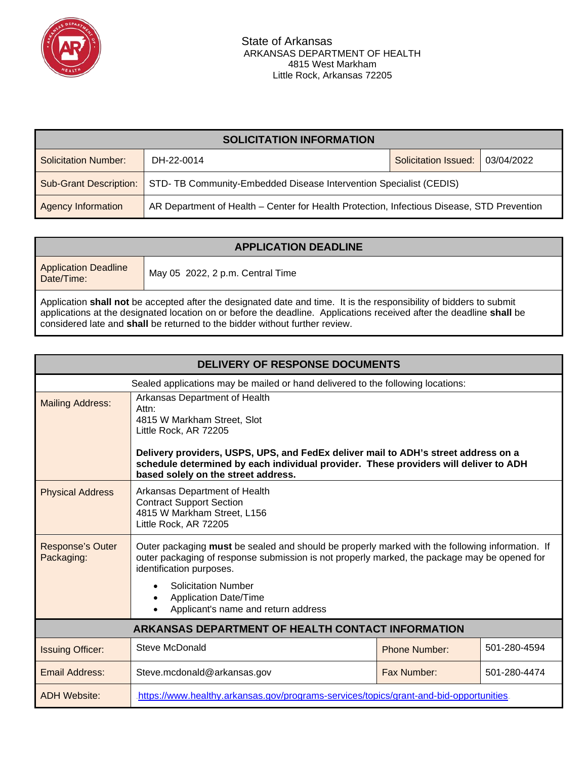

| <b>SOLICITATION INFORMATION</b> |                                                                                            |                      |            |  |
|---------------------------------|--------------------------------------------------------------------------------------------|----------------------|------------|--|
| Solicitation Number:            | DH-22-0014                                                                                 | Solicitation Issued: | 03/04/2022 |  |
| <b>Sub-Grant Description:</b>   | STD- TB Community-Embedded Disease Intervention Specialist (CEDIS)                         |                      |            |  |
| Agency Information              | AR Department of Health - Center for Health Protection, Infectious Disease, STD Prevention |                      |            |  |

| <b>APPLICATION DEADLINE</b>                                                                                                                                                                                                                                                                                                |                                  |  |  |
|----------------------------------------------------------------------------------------------------------------------------------------------------------------------------------------------------------------------------------------------------------------------------------------------------------------------------|----------------------------------|--|--|
| <b>Application Deadline</b><br>Date/Time:                                                                                                                                                                                                                                                                                  | May 05 2022, 2 p.m. Central Time |  |  |
| Application shall not be accepted after the designated date and time. It is the responsibility of bidders to submit<br>applications at the designated location on or before the deadline. Applications received after the deadline shall be<br>considered late and shall be returned to the bidder without further review. |                                  |  |  |

| <b>DELIVERY OF RESPONSE DOCUMENTS</b>                                           |                                                                                                                                                                                                                                                                                                                                  |                                      |  |  |
|---------------------------------------------------------------------------------|----------------------------------------------------------------------------------------------------------------------------------------------------------------------------------------------------------------------------------------------------------------------------------------------------------------------------------|--------------------------------------|--|--|
| Sealed applications may be mailed or hand delivered to the following locations: |                                                                                                                                                                                                                                                                                                                                  |                                      |  |  |
| <b>Mailing Address:</b>                                                         | Arkansas Department of Health<br>Attn:<br>4815 W Markham Street, Slot<br>Little Rock, AR 72205<br>Delivery providers, USPS, UPS, and FedEx deliver mail to ADH's street address on a<br>schedule determined by each individual provider. These providers will deliver to ADH<br>based solely on the street address.              |                                      |  |  |
| <b>Physical Address</b>                                                         | Arkansas Department of Health<br><b>Contract Support Section</b><br>4815 W Markham Street, L156<br>Little Rock, AR 72205                                                                                                                                                                                                         |                                      |  |  |
| <b>Response's Outer</b><br>Packaging:                                           | Outer packaging must be sealed and should be properly marked with the following information. If<br>outer packaging of response submission is not properly marked, the package may be opened for<br>identification purposes.<br><b>Solicitation Number</b><br><b>Application Date/Time</b><br>Applicant's name and return address |                                      |  |  |
| <b>ARKANSAS DEPARTMENT OF HEALTH CONTACT INFORMATION</b>                        |                                                                                                                                                                                                                                                                                                                                  |                                      |  |  |
| <b>Issuing Officer:</b>                                                         | Steve McDonald                                                                                                                                                                                                                                                                                                                   | 501-280-4594<br><b>Phone Number:</b> |  |  |
| <b>Email Address:</b>                                                           | Steve.mcdonald@arkansas.gov                                                                                                                                                                                                                                                                                                      | Fax Number:<br>501-280-4474          |  |  |
| <b>ADH Website:</b>                                                             | https://www.healthy.arkansas.gov/programs-services/topics/grant-and-bid-opportunities.                                                                                                                                                                                                                                           |                                      |  |  |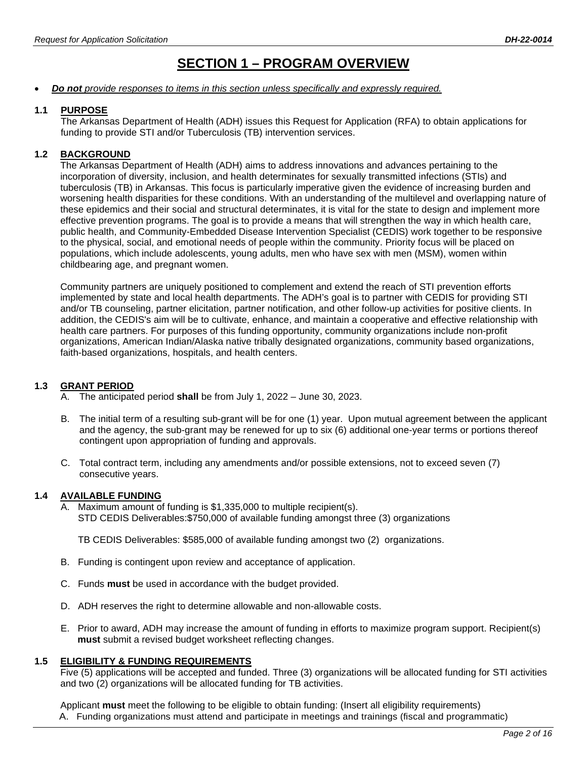# **SECTION 1 – PROGRAM OVERVIEW**

#### • *Do not provide responses to items in this section unless specifically and expressly required.*

#### **1.1 PURPOSE**

The Arkansas Department of Health (ADH) issues this Request for Application (RFA) to obtain applications for funding to provide STI and/or Tuberculosis (TB) intervention services.

### **1.2 BACKGROUND**

The Arkansas Department of Health (ADH) aims to address innovations and advances pertaining to the incorporation of diversity, inclusion, and health determinates for sexually transmitted infections (STIs) and tuberculosis (TB) in Arkansas. This focus is particularly imperative given the evidence of increasing burden and worsening health disparities for these conditions. With an understanding of the multilevel and overlapping nature of these epidemics and their social and structural determinates, it is vital for the state to design and implement more effective prevention programs. The goal is to provide a means that will strengthen the way in which health care, public health, and Community-Embedded Disease Intervention Specialist (CEDIS) work together to be responsive to the physical, social, and emotional needs of people within the community. Priority focus will be placed on populations, which include adolescents, young adults, men who have sex with men (MSM), women within childbearing age, and pregnant women.

Community partners are uniquely positioned to complement and extend the reach of STI prevention efforts implemented by state and local health departments. The ADH's goal is to partner with CEDIS for providing STI and/or TB counseling, partner elicitation, partner notification, and other follow-up activities for positive clients. In addition, the CEDIS's aim will be to cultivate, enhance, and maintain a cooperative and effective relationship with health care partners. For purposes of this funding opportunity, community organizations include non-profit organizations, American Indian/Alaska native tribally designated organizations, community based organizations, faith-based organizations, hospitals, and health centers.

#### **1.3 GRANT PERIOD**

- A. The anticipated period **shall** be from July 1, 2022 June 30, 2023.
- B. The initial term of a resulting sub-grant will be for one (1) year. Upon mutual agreement between the applicant and the agency, the sub-grant may be renewed for up to six (6) additional one-year terms or portions thereof contingent upon appropriation of funding and approvals.
- C. Total contract term, including any amendments and/or possible extensions, not to exceed seven (7) consecutive years.

## **1.4 AVAILABLE FUNDING**

Maximum amount of funding is \$1,335,000 to multiple recipient(s). STD CEDIS Deliverables:\$750,000 of available funding amongst three (3) organizations

TB CEDIS Deliverables: \$585,000 of available funding amongst two (2) organizations.

- B. Funding is contingent upon review and acceptance of application.
- C. Funds **must** be used in accordance with the budget provided.
- D. ADH reserves the right to determine allowable and non-allowable costs.
- E. Prior to award, ADH may increase the amount of funding in efforts to maximize program support. Recipient(s) **must** submit a revised budget worksheet reflecting changes.

#### **1.5 ELIGIBILITY & FUNDING REQUIREMENTS**

Five (5) applications will be accepted and funded. Three (3) organizations will be allocated funding for STI activities and two (2) organizations will be allocated funding for TB activities.

Applicant **must** meet the following to be eligible to obtain funding: (Insert all eligibility requirements) A. Funding organizations must attend and participate in meetings and trainings (fiscal and programmatic)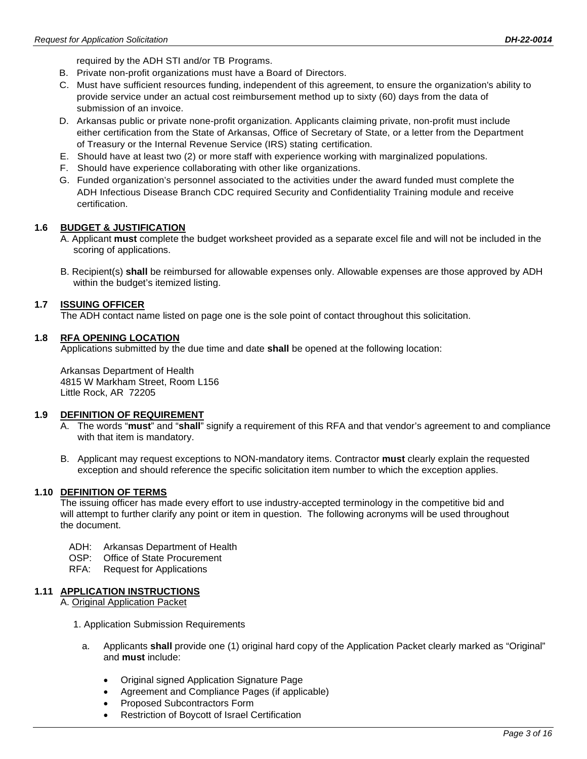required by the ADH STI and/or TB Programs.

- B. Private non-profit organizations must have a Board of Directors.
- C. Must have sufficient resources funding, independent of this agreement, to ensure the organization's ability to provide service under an actual cost reimbursement method up to sixty (60) days from the data of submission of an invoice.
- D. Arkansas public or private none-profit organization. Applicants claiming private, non-profit must include either certification from the State of Arkansas, Office of Secretary of State, or a letter from the Department of Treasury or the Internal Revenue Service (IRS) stating certification.
- E. Should have at least two (2) or more staff with experience working with marginalized populations.
- F. Should have experience collaborating with other like organizations.
- G. Funded organization's personnel associated to the activities under the award funded must complete the ADH Infectious Disease Branch CDC required Security and Confidentiality Training module and receive certification.

#### **1.6 BUDGET & JUSTIFICATION**

- A. Applicant **must** complete the budget worksheet provided as a separate excel file and will not be included in the scoring of applications.
- B. Recipient(s) **shall** be reimbursed for allowable expenses only. Allowable expenses are those approved by ADH within the budget's itemized listing.

#### **1.7 ISSUING OFFICER**

The ADH contact name listed on page one is the sole point of contact throughout this solicitation.

#### **1.8 RFA OPENING LOCATION**

Applications submitted by the due time and date **shall** be opened at the following location:

Arkansas Department of Health 4815 W Markham Street, Room L156 Little Rock, AR 72205

#### **1.9 DEFINITION OF REQUIREMENT**

- A. The words "**must**" and "**shall**" signify a requirement of this RFA and that vendor's agreement to and compliance with that item is mandatory.
- B. Applicant may request exceptions to NON-mandatory items. Contractor **must** clearly explain the requested exception and should reference the specific solicitation item number to which the exception applies.

#### **1.10 DEFINITION OF TERMS**

The issuing officer has made every effort to use industry-accepted terminology in the competitive bid and will attempt to further clarify any point or item in question. The following acronyms will be used throughout the document.

- ADH: Arkansas Department of Health
- OSP: Office of State Procurement
- RFA: Request for Applications

#### **1.11 APPLICATION INSTRUCTIONS**

A. Original Application Packet

- 1. Application Submission Requirements
	- a. Applicants **shall** provide one (1) original hard copy of the Application Packet clearly marked as "Original" and **must** include:
		- Original signed Application Signature Page
		- Agreement and Compliance Pages (if applicable)
		- Proposed Subcontractors Form
		- Restriction of Boycott of Israel Certification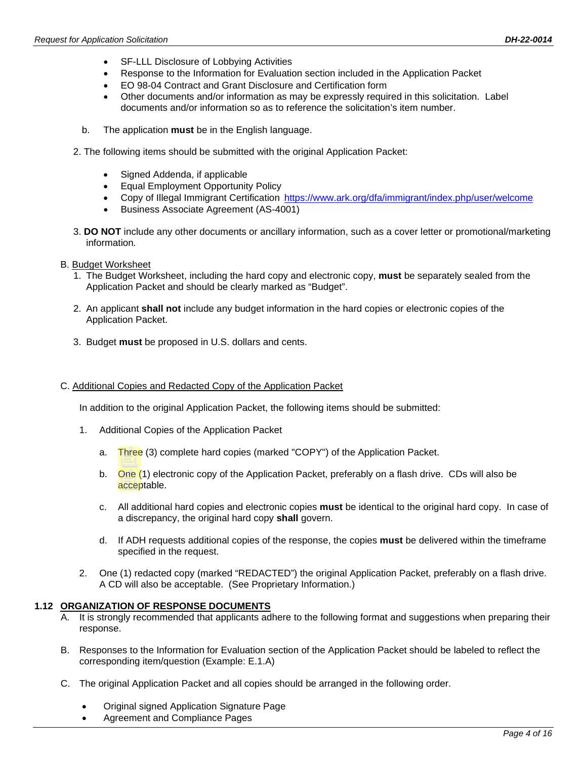- SF-LLL Disclosure of Lobbying Activities
- Response to the Information for Evaluation section included in the Application Packet
- EO 98-04 Contract and Grant Disclosure and Certification form
- Other documents and/or information as may be expressly required in this solicitation. Label documents and/or information so as to reference the solicitation's item number.
- b. The application **must** be in the English language.
- 2. The following items should be submitted with the original Application Packet:
	- Signed Addenda, if applicable
	- Equal Employment Opportunity Policy
	- Copy of Illegal Immigrant Certification .<https://www.ark.org/dfa/immigrant/index.php/user/welcome>.
	- Business Associate Agreement (AS-4001)
- 3. **DO NOT** include any other documents or ancillary information, such as a cover letter or promotional/marketing information*.*
- B. Budget Worksheet
	- 1. The Budget Worksheet, including the hard copy and electronic copy, **must** be separately sealed from the Application Packet and should be clearly marked as "Budget".
	- 2. An applicant **shall not** include any budget information in the hard copies or electronic copies of the Application Packet.
	- 3. Budget **must** be proposed in U.S. dollars and cents.

## C. Additional Copies and Redacted Copy of the Application Packet

In addition to the original Application Packet, the following items should be submitted:

- 1. Additional Copies of the Application Packet
	- a. Three (3) complete hard copies (marked "COPY") of the Application Packet.
	- b. One (1) electronic copy of the Application Packet, preferably on a flash drive. CDs will also be acceptable.
	- c. All additional hard copies and electronic copies **must** be identical to the original hard copy. In case of a discrepancy, the original hard copy **shall** govern.
	- d. If ADH requests additional copies of the response, the copies **must** be delivered within the timeframe specified in the request.
- 2. One (1) redacted copy (marked "REDACTED") the original Application Packet, preferably on a flash drive. A CD will also be acceptable. (See Proprietary Information.)

## **1.12 ORGANIZATION OF RESPONSE DOCUMENTS**

- A. It is strongly recommended that applicants adhere to the following format and suggestions when preparing their response.
- B. Responses to the Information for Evaluation section of the Application Packet should be labeled to reflect the corresponding item/question (Example: E.1.A)
- C. The original Application Packet and all copies should be arranged in the following order.
	- Original signed Application Signature Page
	- Agreement and Compliance Pages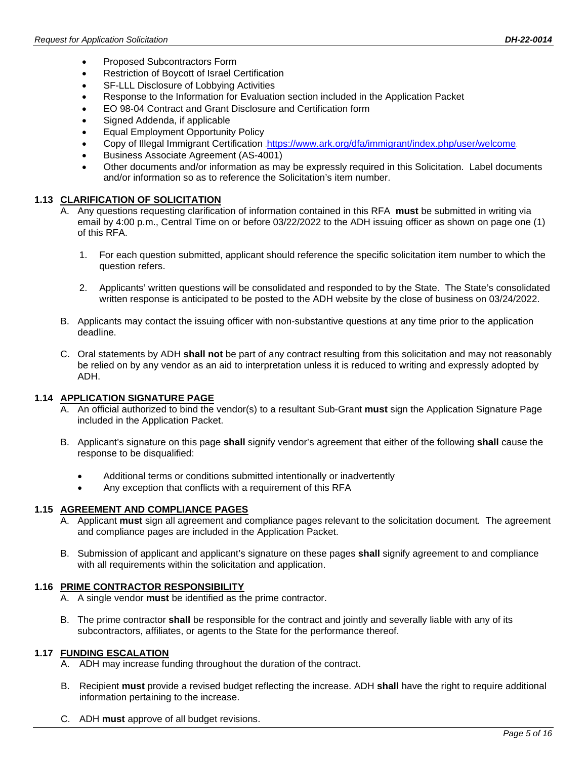- Proposed Subcontractors Form
- Restriction of Boycott of Israel Certification
- SF-LLL Disclosure of Lobbying Activities
- Response to the Information for Evaluation section included in the Application Packet
- EO 98-04 Contract and Grant Disclosure and Certification form
- Signed Addenda, if applicable
- Equal Employment Opportunity Policy
- Copy of Illegal Immigrant Certification .<https://www.ark.org/dfa/immigrant/index.php/user/welcome>.
- Business Associate Agreement (AS-4001)
- Other documents and/or information as may be expressly required in this Solicitation. Label documents and/or information so as to reference the Solicitation's item number.

## **1.13 CLARIFICATION OF SOLICITATION**

- A. Any questions requesting clarification of information contained in this RFA **must** be submitted in writing via email by 4:00 p.m., Central Time on or before 03/22/2022 to the ADH issuing officer as shown on page one (1) of this RFA.
	- 1. For each question submitted, applicant should reference the specific solicitation item number to which the question refers.
	- 2. Applicants' written questions will be consolidated and responded to by the State. The State's consolidated written response is anticipated to be posted to the ADH website by the close of business on 03/24/2022.
- B. Applicants may contact the issuing officer with non-substantive questions at any time prior to the application deadline.
- C. Oral statements by ADH **shall not** be part of any contract resulting from this solicitation and may not reasonably be relied on by any vendor as an aid to interpretation unless it is reduced to writing and expressly adopted by ADH.

## **1.14 APPLICATION SIGNATURE PAGE**

- A. An official authorized to bind the vendor(s) to a resultant Sub-Grant **must** sign the Application Signature Page included in the Application Packet.
- B. Applicant's signature on this page **shall** signify vendor's agreement that either of the following **shall** cause the response to be disqualified:
	- Additional terms or conditions submitted intentionally or inadvertently
	- Any exception that conflicts with a requirement of this RFA

## **1.15 AGREEMENT AND COMPLIANCE PAGES**

- A. Applicant **must** sign all agreement and compliance pages relevant to the solicitation document*.* The agreement and compliance pages are included in the Application Packet.
- B. Submission of applicant and applicant's signature on these pages **shall** signify agreement to and compliance with all requirements within the solicitation and application.

## **1.16 PRIME CONTRACTOR RESPONSIBILITY**

- A. A single vendor **must** be identified as the prime contractor.
- B. The prime contractor **shall** be responsible for the contract and jointly and severally liable with any of its subcontractors, affiliates, or agents to the State for the performance thereof.

## **1.17 FUNDING ESCALATION**

- A. ADH may increase funding throughout the duration of the contract.
- B. Recipient **must** provide a revised budget reflecting the increase. ADH **shall** have the right to require additional information pertaining to the increase.
- C. ADH **must** approve of all budget revisions.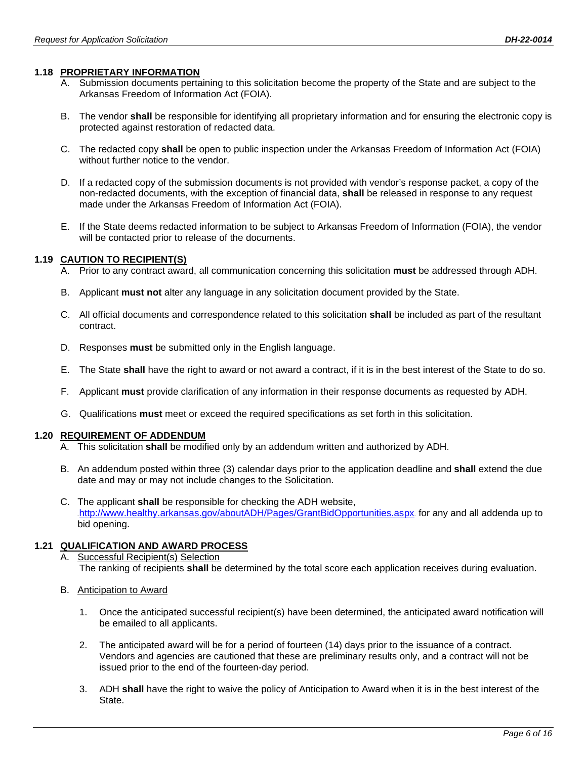## **1.18 PROPRIETARY INFORMATION**

- A. Submission documents pertaining to this solicitation become the property of the State and are subject to the Arkansas Freedom of Information Act (FOIA).
- B. The vendor **shall** be responsible for identifying all proprietary information and for ensuring the electronic copy is protected against restoration of redacted data.
- C. The redacted copy **shall** be open to public inspection under the Arkansas Freedom of Information Act (FOIA) without further notice to the vendor.
- D. If a redacted copy of the submission documents is not provided with vendor's response packet, a copy of the non-redacted documents, with the exception of financial data, **shall** be released in response to any request made under the Arkansas Freedom of Information Act (FOIA).
- E. If the State deems redacted information to be subject to Arkansas Freedom of Information (FOIA), the vendor will be contacted prior to release of the documents.

### **1.19 CAUTION TO RECIPIENT(S)**

- A. Prior to any contract award, all communication concerning this solicitation **must** be addressed through ADH.
- B. Applicant **must not** alter any language in any solicitation document provided by the State.
- C. All official documents and correspondence related to this solicitation **shall** be included as part of the resultant contract.
- D. Responses **must** be submitted only in the English language.
- E. The State **shall** have the right to award or not award a contract, if it is in the best interest of the State to do so.
- F. Applicant **must** provide clarification of any information in their response documents as requested by ADH.
- G. Qualifications **must** meet or exceed the required specifications as set forth in this solicitation.

#### **1.20 REQUIREMENT OF ADDENDUM**

- A. This solicitation **shall** be modified only by an addendum written and authorized by ADH.
- B. An addendum posted within three (3) calendar days prior to the application deadline and **shall** extend the due date and may or may not include changes to the Solicitation.
- C. The applicant **shall** be responsible for checking the ADH website, .<http://www.healthy.arkansas.gov/aboutADH/Pages/GrantBidOpportunities.aspx>. for any and all addenda up to bid opening.

## **1.21 QUALIFICATION AND AWARD PROCESS**

- A. Successful Recipient(s) Selection The ranking of recipients **shall** be determined by the total score each application receives during evaluation.
- B. Anticipation to Award
	- 1. Once the anticipated successful recipient(s) have been determined, the anticipated award notification will be emailed to all applicants.
	- 2. The anticipated award will be for a period of fourteen (14) days prior to the issuance of a contract. Vendors and agencies are cautioned that these are preliminary results only, and a contract will not be issued prior to the end of the fourteen-day period.
	- 3. ADH **shall** have the right to waive the policy of Anticipation to Award when it is in the best interest of the State.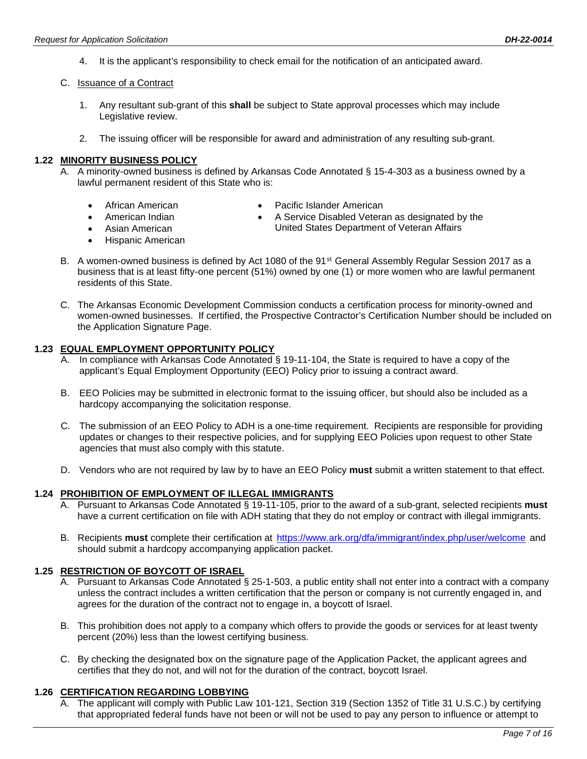4. It is the applicant's responsibility to check email for the notification of an anticipated award.

#### C. Issuance of a Contract

- 1. Any resultant sub-grant of this **shall** be subject to State approval processes which may include Legislative review.
- 2. The issuing officer will be responsible for award and administration of any resulting sub-grant.

#### **1.22 MINORITY BUSINESS POLICY**

- A. A minority-owned business is defined by Arkansas Code Annotated § 15-4-303 as a business owned by a lawful permanent resident of this State who is:
	- African American
- Pacific Islander American
- American Indian
- Asian American
	- Hispanic American
- A Service Disabled Veteran as designated by the
- United States Department of Veteran Affairs
- B. A women-owned business is defined by Act 1080 of the 91st General Assembly Regular Session 2017 as a business that is at least fifty-one percent (51%) owned by one (1) or more women who are lawful permanent residents of this State.
- C. The Arkansas Economic Development Commission conducts a certification process for minority-owned and women-owned businesses. If certified, the Prospective Contractor's Certification Number should be included on the Application Signature Page.

#### **1.23 EQUAL EMPLOYMENT OPPORTUNITY POLICY**

- A. In compliance with Arkansas Code Annotated § 19-11-104, the State is required to have a copy of the applicant's Equal Employment Opportunity (EEO) Policy prior to issuing a contract award.
- B. EEO Policies may be submitted in electronic format to the issuing officer, but should also be included as a hardcopy accompanying the solicitation response.
- C. The submission of an EEO Policy to ADH is a one-time requirement. Recipients are responsible for providing updates or changes to their respective policies, and for supplying EEO Policies upon request to other State agencies that must also comply with this statute.
- D. Vendors who are not required by law by to have an EEO Policy **must** submit a written statement to that effect.

#### **1.24 PROHIBITION OF EMPLOYMENT OF ILLEGAL IMMIGRANTS**

- A. Pursuant to Arkansas Code Annotated § 19-11-105, prior to the award of a sub-grant, selected recipients **must** have a current certification on file with ADH stating that they do not employ or contract with illegal immigrants.
- B. Recipients **must** complete their certification at  $\frac{https://www.ark.org/dfa/immigrant/index.php/user/webcome">https://www.ark.org/dfa/immigrant/index.php/user/webcome$  andshould submit a hardcopy accompanying application packet.

## **1.25 RESTRICTION OF BOYCOTT OF ISRAEL**

- A. Pursuant to Arkansas Code Annotated § 25-1-503, a public entity shall not enter into a contract with a company unless the contract includes a written certification that the person or company is not currently engaged in, and agrees for the duration of the contract not to engage in, a boycott of Israel.
- B. This prohibition does not apply to a company which offers to provide the goods or services for at least twenty percent (20%) less than the lowest certifying business.
- C. By checking the designated box on the signature page of the Application Packet, the applicant agrees and certifies that they do not, and will not for the duration of the contract, boycott Israel.

#### **1.26 CERTIFICATION REGARDING LOBBYING**

A. The applicant will comply with Public Law 101-121, Section 319 (Section 1352 of Title 31 U.S.C.) by certifying that appropriated federal funds have not been or will not be used to pay any person to influence or attempt to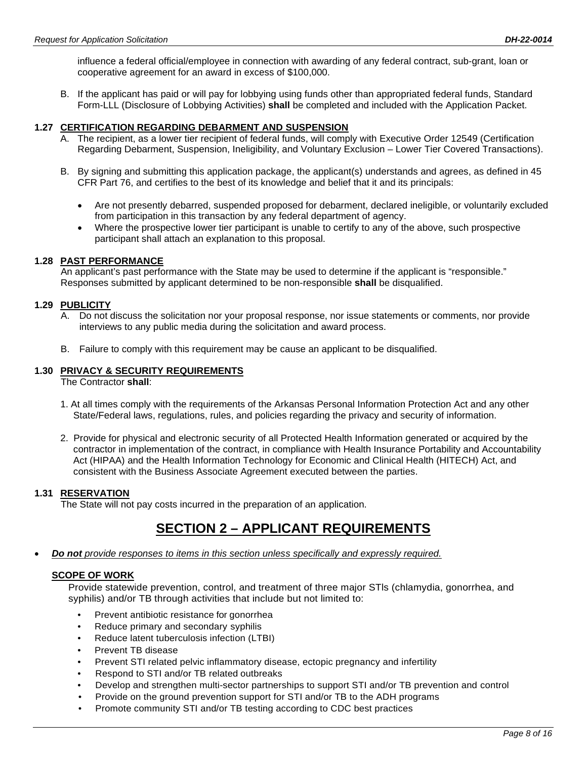influence a federal official/employee in connection with awarding of any federal contract, sub-grant, loan or cooperative agreement for an award in excess of \$100,000.

B. If the applicant has paid or will pay for lobbying using funds other than appropriated federal funds, Standard Form-LLL (Disclosure of Lobbying Activities) **shall** be completed and included with the Application Packet.

## **1.27 CERTIFICATION REGARDING DEBARMENT AND SUSPENSION**

- A. The recipient, as a lower tier recipient of federal funds, will comply with Executive Order 12549 (Certification Regarding Debarment, Suspension, Ineligibility, and Voluntary Exclusion – Lower Tier Covered Transactions).
- B. By signing and submitting this application package, the applicant(s) understands and agrees, as defined in 45 CFR Part 76, and certifies to the best of its knowledge and belief that it and its principals:
	- Are not presently debarred, suspended proposed for debarment, declared ineligible, or voluntarily excluded from participation in this transaction by any federal department of agency.
	- Where the prospective lower tier participant is unable to certify to any of the above, such prospective participant shall attach an explanation to this proposal.

## **1.28 PAST PERFORMANCE**

An applicant's past performance with the State may be used to determine if the applicant is "responsible." Responses submitted by applicant determined to be non-responsible **shall** be disqualified.

## **1.29 PUBLICITY**

- A. Do not discuss the solicitation nor your proposal response, nor issue statements or comments, nor provide interviews to any public media during the solicitation and award process.
- B. Failure to comply with this requirement may be cause an applicant to be disqualified.

## **1.30 PRIVACY & SECURITY REQUIREMENTS**

The Contractor **shall**:

- 1. At all times comply with the requirements of the Arkansas Personal Information Protection Act and any other State/Federal laws, regulations, rules, and policies regarding the privacy and security of information.
- 2. Provide for physical and electronic security of all Protected Health Information generated or acquired by the contractor in implementation of the contract, in compliance with Health Insurance Portability and Accountability Act (HIPAA) and the Health Information Technology for Economic and Clinical Health (HITECH) Act, and consistent with the Business Associate Agreement executed between the parties.

## **1.31 RESERVATION**

The State will not pay costs incurred in the preparation of an application.

# **SECTION 2 – APPLICANT REQUIREMENTS**

• *Do not provide responses to items in this section unless specifically and expressly required.*

## **SCOPE OF WORK**

Provide statewide prevention, control, and treatment of three major STls (chlamydia, gonorrhea, and syphilis) and/or TB through activities that include but not limited to:

- Prevent antibiotic resistance for gonorrhea
- Reduce primary and secondary syphilis
- Reduce latent tuberculosis infection (LTBI)
- Prevent TB disease
- Prevent STI related pelvic inflammatory disease, ectopic pregnancy and infertility
- Respond to STI and/or TB related outbreaks
- Develop and strengthen multi-sector partnerships to support STI and/or TB prevention and control
- Provide on the ground prevention support for STI and/or TB to the ADH programs
- Promote community STI and/or TB testing according to CDC best practices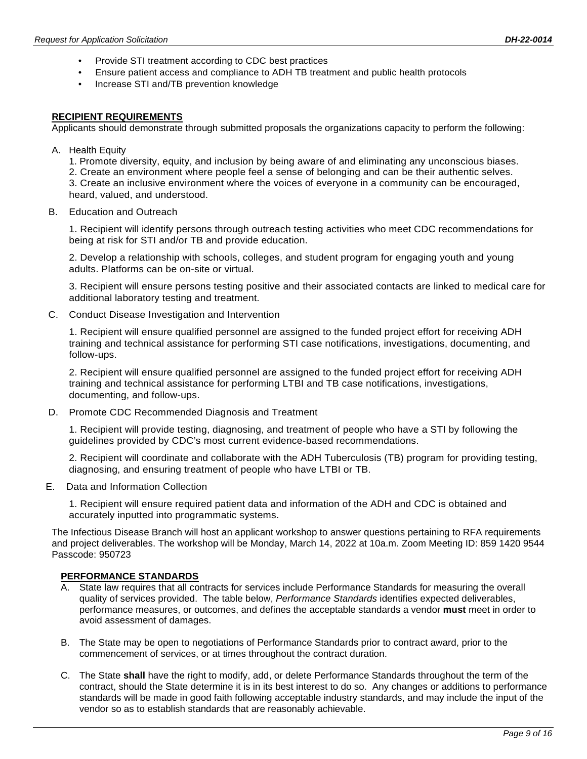- Provide STI treatment according to CDC best practices
- Ensure patient access and compliance to ADH TB treatment and public health protocols
- Increase STI and/TB prevention knowledge

## **RECIPIENT REQUIREMENTS**

Applicants should demonstrate through submitted proposals the organizations capacity to perform the following:

- A. Health Equity
	- 1. Promote diversity, equity, and inclusion by being aware of and eliminating any unconscious biases.
	- 2. Create an environment where people feel a sense of belonging and can be their authentic selves.
	- 3. Create an inclusive environment where the voices of everyone in a community can be encouraged, heard, valued, and understood.
- B. Education and Outreach

1. Recipient will identify persons through outreach testing activities who meet CDC recommendations for being at risk for STI and/or TB and provide education.

2. Develop a relationship with schools, colleges, and student program for engaging youth and young adults. Platforms can be on-site or virtual.

3. Recipient will ensure persons testing positive and their associated contacts are linked to medical care for additional laboratory testing and treatment.

C. Conduct Disease Investigation and Intervention

1. Recipient will ensure qualified personnel are assigned to the funded project effort for receiving ADH training and technical assistance for performing STI case notifications, investigations, documenting, and follow-ups.

2. Recipient will ensure qualified personnel are assigned to the funded project effort for receiving ADH training and technical assistance for performing LTBI and TB case notifications, investigations, documenting, and follow-ups.

D. Promote CDC Recommended Diagnosis and Treatment

1. Recipient will provide testing, diagnosing, and treatment of people who have a STI by following the guidelines provided by CDC's most current evidence-based recommendations.

2. Recipient will coordinate and collaborate with the ADH Tuberculosis (TB) program for providing testing, diagnosing, and ensuring treatment of people who have LTBI or TB.

E. Data and Information Collection

1. Recipient will ensure required patient data and information of the ADH and CDC is obtained and accurately inputted into programmatic systems.

The Infectious Disease Branch will host an applicant workshop to answer questions pertaining to RFA requirements and project deliverables. The workshop will be Monday, March 14, 2022 at 10a.m. Zoom Meeting ID: 859 1420 9544 Passcode: 950723

## **PERFORMANCE STANDARDS**

- A. State law requires that all contracts for services include Performance Standards for measuring the overall quality of services provided. The table below, *Performance Standards* identifies expected deliverables, performance measures, or outcomes, and defines the acceptable standards a vendor **must** meet in order to avoid assessment of damages.
- B. The State may be open to negotiations of Performance Standards prior to contract award, prior to the commencement of services, or at times throughout the contract duration.
- C. The State **shall** have the right to modify, add, or delete Performance Standards throughout the term of the contract, should the State determine it is in its best interest to do so. Any changes or additions to performance standards will be made in good faith following acceptable industry standards, and may include the input of the vendor so as to establish standards that are reasonably achievable.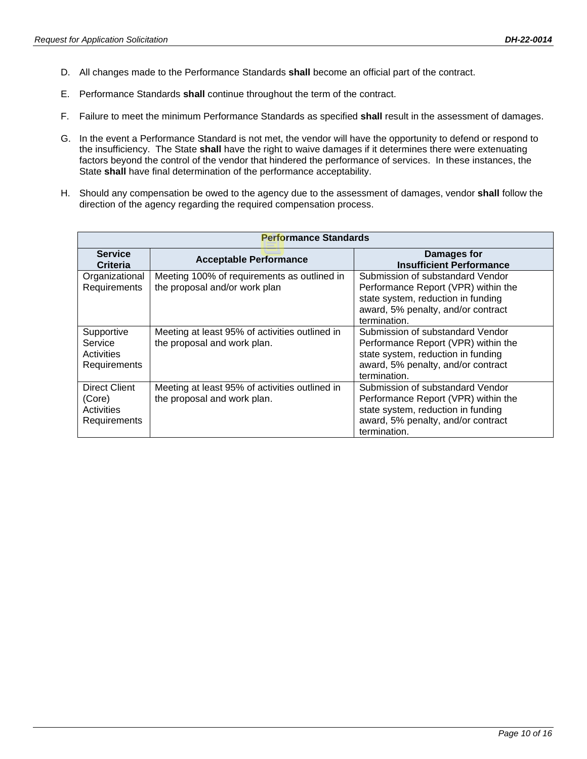- D. All changes made to the Performance Standards **shall** become an official part of the contract.
- E. Performance Standards **shall** continue throughout the term of the contract.
- F. Failure to meet the minimum Performance Standards as specified **shall** result in the assessment of damages.
- G. In the event a Performance Standard is not met, the vendor will have the opportunity to defend or respond to the insufficiency. The State **shall** have the right to waive damages if it determines there were extenuating factors beyond the control of the vendor that hindered the performance of services. In these instances, the State **shall** have final determination of the performance acceptability.
- H. Should any compensation be owed to the agency due to the assessment of damages, vendor **shall** follow the direction of the agency regarding the required compensation process.

| <b>Performance Standards</b>                                 |                                                                               |                                                                                                                                                                     |  |
|--------------------------------------------------------------|-------------------------------------------------------------------------------|---------------------------------------------------------------------------------------------------------------------------------------------------------------------|--|
| <b>Service</b><br>Criteria                                   | <b>Acceptable Performance</b>                                                 | Damages for<br><b>Insufficient Performance</b>                                                                                                                      |  |
| Organizational<br>Requirements                               | Meeting 100% of requirements as outlined in<br>the proposal and/or work plan  | Submission of substandard Vendor<br>Performance Report (VPR) within the<br>state system, reduction in funding<br>award, 5% penalty, and/or contract<br>termination. |  |
| Supportive<br>Service<br>Activities<br>Requirements          | Meeting at least 95% of activities outlined in<br>the proposal and work plan. | Submission of substandard Vendor<br>Performance Report (VPR) within the<br>state system, reduction in funding<br>award, 5% penalty, and/or contract<br>termination. |  |
| <b>Direct Client</b><br>(Core)<br>Activities<br>Requirements | Meeting at least 95% of activities outlined in<br>the proposal and work plan. | Submission of substandard Vendor<br>Performance Report (VPR) within the<br>state system, reduction in funding<br>award, 5% penalty, and/or contract<br>termination. |  |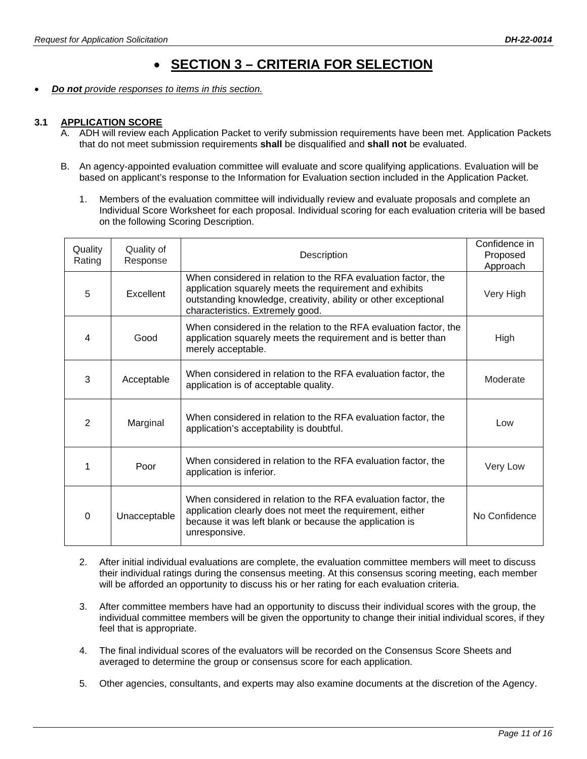# • **SECTION 3 – CRITERIA FOR SELECTION**

• *Do not provide responses to items in this section.*

## **3.1 APPLICATION SCORE**

- A. ADH will review each Application Packet to verify submission requirements have been met*.* Application Packets that do not meet submission requirements **shall** be disqualified and **shall not** be evaluated.
- B. An agency-appointed evaluation committee will evaluate and score qualifying applications. Evaluation will be based on applicant's response to the Information for Evaluation section included in the Application Packet.
	- 1. Members of the evaluation committee will individually review and evaluate proposals and complete an Individual Score Worksheet for each proposal. Individual scoring for each evaluation criteria will be based on the following Scoring Description.

| Quality<br>Rating | Quality of<br>Response | Description                                                                                                                                                                                                                     | Confidence in<br>Proposed<br>Approach |
|-------------------|------------------------|---------------------------------------------------------------------------------------------------------------------------------------------------------------------------------------------------------------------------------|---------------------------------------|
| 5                 | Excellent              | When considered in relation to the RFA evaluation factor, the<br>application squarely meets the requirement and exhibits<br>outstanding knowledge, creativity, ability or other exceptional<br>characteristics. Extremely good. | Very High                             |
| 4                 | Good                   | When considered in the relation to the RFA evaluation factor, the<br>application squarely meets the requirement and is better than<br>merely acceptable.                                                                        | High                                  |
| 3                 | Acceptable             | When considered in relation to the RFA evaluation factor, the<br>application is of acceptable quality.                                                                                                                          | Moderate                              |
| 2                 | Marginal               | When considered in relation to the RFA evaluation factor, the<br>application's acceptability is doubtful.                                                                                                                       | Low                                   |
| 1                 | Poor                   | When considered in relation to the RFA evaluation factor, the<br>application is inferior.                                                                                                                                       | Very Low                              |
| $\Omega$          | Unacceptable           | When considered in relation to the RFA evaluation factor, the<br>application clearly does not meet the requirement, either<br>because it was left blank or because the application is<br>unresponsive.                          | No Confidence                         |

- 2. After initial individual evaluations are complete, the evaluation committee members will meet to discuss their individual ratings during the consensus meeting. At this consensus scoring meeting, each member will be afforded an opportunity to discuss his or her rating for each evaluation criteria.
- 3. After committee members have had an opportunity to discuss their individual scores with the group, the individual committee members will be given the opportunity to change their initial individual scores, if they feel that is appropriate.
- 4. The final individual scores of the evaluators will be recorded on the Consensus Score Sheets and averaged to determine the group or consensus score for each application.
- 5. Other agencies, consultants, and experts may also examine documents at the discretion of the Agency.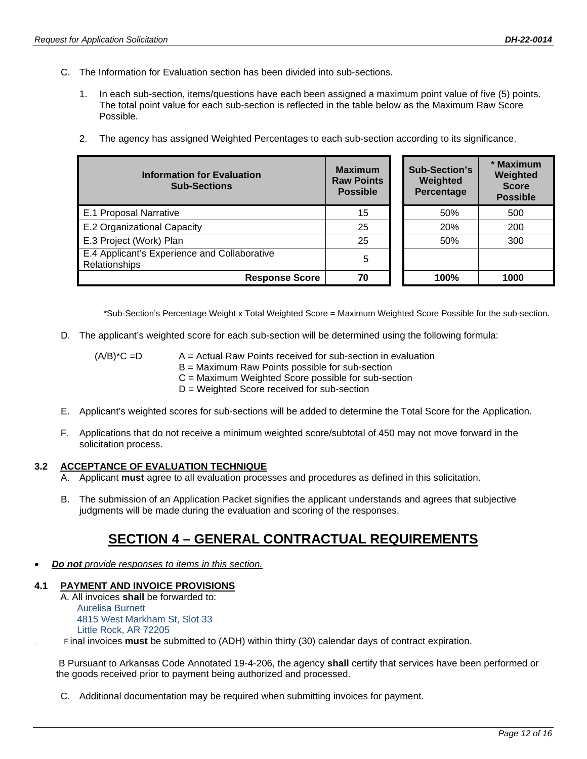- C. The Information for Evaluation section has been divided into sub-sections.
	- 1. In each sub-section, items/questions have each been assigned a maximum point value of five (5) points. The total point value for each sub-section is reflected in the table below as the Maximum Raw Score Possible.
	- 2. The agency has assigned Weighted Percentages to each sub-section according to its significance.

| <b>Information for Evaluation</b><br><b>Sub-Sections</b>             | <b>Maximum</b><br><b>Raw Points</b><br><b>Possible</b> | <b>Sub-Section's</b><br>Weighted<br>Percentage | * Maximum<br>Weighted<br><b>Score</b><br><b>Possible</b> |
|----------------------------------------------------------------------|--------------------------------------------------------|------------------------------------------------|----------------------------------------------------------|
| E.1 Proposal Narrative                                               | 15                                                     | 50%                                            | 500                                                      |
| E.2 Organizational Capacity                                          | 25                                                     | 20%                                            | 200                                                      |
| E.3 Project (Work) Plan                                              | 25                                                     | 50%                                            | 300                                                      |
| E.4 Applicant's Experience and Collaborative<br><b>Relationships</b> | 5                                                      |                                                |                                                          |
| <b>Response Score</b>                                                | 70                                                     | 100%                                           | 1000                                                     |

\*Sub-Section's Percentage Weight x Total Weighted Score = Maximum Weighted Score Possible for the sub-section.

- D. The applicant's weighted score for each sub-section will be determined using the following formula:
	- $(A/B)^{\ast}C = D$  A = Actual Raw Points received for sub-section in evaluation B = Maximum Raw Points possible for sub-section C = Maximum Weighted Score possible for sub-section D = Weighted Score received for sub-section
- E. Applicant's weighted scores for sub-sections will be added to determine the Total Score for the Application.
- F. Applications that do not receive a minimum weighted score/subtotal of 450 may not move forward in the solicitation process.

#### **3.2 ACCEPTANCE OF EVALUATION TECHNIQUE**

- A. Applicant **must** agree to all evaluation processes and procedures as defined in this solicitation.
- B. The submission of an Application Packet signifies the applicant understands and agrees that subjective judgments will be made during the evaluation and scoring of the responses.

## **SECTION 4 – GENERAL CONTRACTUAL REQUIREMENTS**

• *Do not provide responses to items in this section.*

## **4.1 PAYMENT AND INVOICE PROVISIONS**

A. All invoices **shall** be forwarded to: Aurelisa Burnett 4815 West Markham St, Slot 33 Little Rock, AR 72205 10T F10Tinal invoices **must** be submitted to (ADH) within thirty (30) calendar days of contract expiration.

B Pursuant to Arkansas Code Annotated 19-4-206, the agency **shall** certify that services have been performed or the goods received prior to payment being authorized and processed.

C. Additional documentation may be required when submitting invoices for payment.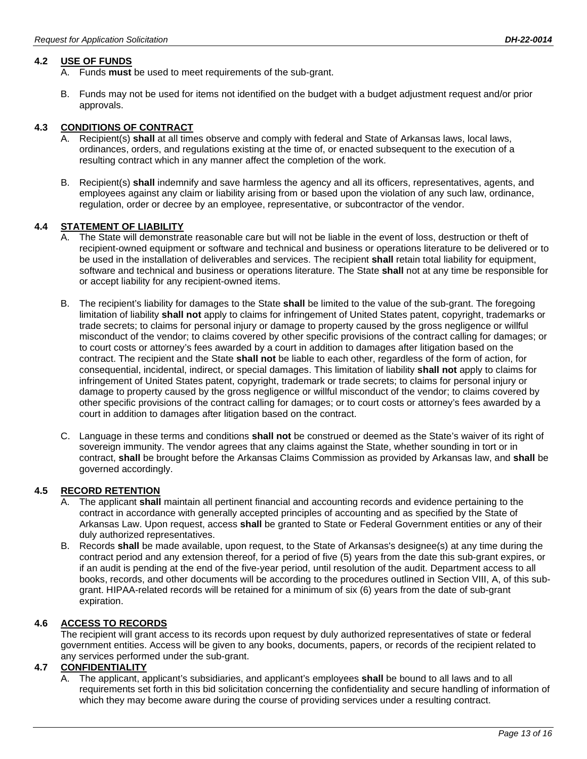## **4.2 USE OF FUNDS**

- A. Funds **must** be used to meet requirements of the sub-grant.
- B. Funds may not be used for items not identified on the budget with a budget adjustment request and/or prior approvals.

## **4.3 CONDITIONS OF CONTRACT**

- A. Recipient(s) **shall** at all times observe and comply with federal and State of Arkansas laws, local laws, ordinances, orders, and regulations existing at the time of, or enacted subsequent to the execution of a resulting contract which in any manner affect the completion of the work.
- B. Recipient(s) **shall** indemnify and save harmless the agency and all its officers, representatives, agents, and employees against any claim or liability arising from or based upon the violation of any such law, ordinance, regulation, order or decree by an employee, representative, or subcontractor of the vendor.

#### **4.4 STATEMENT OF LIABILITY**

- A. The State will demonstrate reasonable care but will not be liable in the event of loss, destruction or theft of recipient-owned equipment or software and technical and business or operations literature to be delivered or to be used in the installation of deliverables and services. The recipient **shall** retain total liability for equipment, software and technical and business or operations literature. The State **shall** not at any time be responsible for or accept liability for any recipient-owned items.
- B. The recipient's liability for damages to the State **shall** be limited to the value of the sub-grant. The foregoing limitation of liability **shall not** apply to claims for infringement of United States patent, copyright, trademarks or trade secrets; to claims for personal injury or damage to property caused by the gross negligence or willful misconduct of the vendor; to claims covered by other specific provisions of the contract calling for damages; or to court costs or attorney's fees awarded by a court in addition to damages after litigation based on the contract. The recipient and the State **shall not** be liable to each other, regardless of the form of action, for consequential, incidental, indirect, or special damages. This limitation of liability **shall not** apply to claims for infringement of United States patent, copyright, trademark or trade secrets; to claims for personal injury or damage to property caused by the gross negligence or willful misconduct of the vendor; to claims covered by other specific provisions of the contract calling for damages; or to court costs or attorney's fees awarded by a court in addition to damages after litigation based on the contract.
- C. Language in these terms and conditions **shall not** be construed or deemed as the State's waiver of its right of sovereign immunity. The vendor agrees that any claims against the State, whether sounding in tort or in contract, **shall** be brought before the Arkansas Claims Commission as provided by Arkansas law, and **shall** be governed accordingly.

#### **4.5 RECORD RETENTION**

- The applicant **shall** maintain all pertinent financial and accounting records and evidence pertaining to the contract in accordance with generally accepted principles of accounting and as specified by the State of Arkansas Law. Upon request, access **shall** be granted to State or Federal Government entities or any of their duly authorized representatives.
- B. Records **shall** be made available, upon request, to the State of Arkansas's designee(s) at any time during the contract period and any extension thereof, for a period of five (5) years from the date this sub-grant expires, or if an audit is pending at the end of the five-year period, until resolution of the audit. Department access to all books, records, and other documents will be according to the procedures outlined in Section VIII, A, of this subgrant. HIPAA-related records will be retained for a minimum of six (6) years from the date of sub-grant expiration.

## **4.6 ACCESS TO RECORDS**

The recipient will grant access to its records upon request by duly authorized representatives of state or federal government entities. Access will be given to any books, documents, papers, or records of the recipient related to any services performed under the sub-grant.

#### **4.7 CONFIDENTIALITY**

A. The applicant, applicant's subsidiaries, and applicant's employees **shall** be bound to all laws and to all requirements set forth in this bid solicitation concerning the confidentiality and secure handling of information of which they may become aware during the course of providing services under a resulting contract.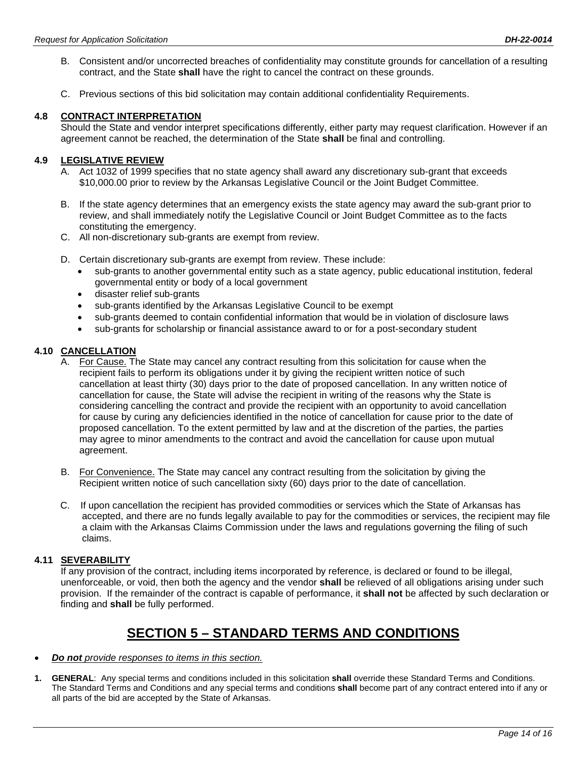- B. Consistent and/or uncorrected breaches of confidentiality may constitute grounds for cancellation of a resulting contract, and the State **shall** have the right to cancel the contract on these grounds.
- C. Previous sections of this bid solicitation may contain additional confidentiality Requirements.

### **4.8 CONTRACT INTERPRETATION**

Should the State and vendor interpret specifications differently, either party may request clarification. However if an agreement cannot be reached, the determination of the State **shall** be final and controlling.

## **4.9 LEGISLATIVE REVIEW**

- A. Act 1032 of 1999 specifies that no state agency shall award any discretionary sub-grant that exceeds \$10,000.00 prior to review by the Arkansas Legislative Council or the Joint Budget Committee.
- B. If the state agency determines that an emergency exists the state agency may award the sub-grant prior to review, and shall immediately notify the Legislative Council or Joint Budget Committee as to the facts constituting the emergency.
- C. All non-discretionary sub-grants are exempt from review.
- D. Certain discretionary sub-grants are exempt from review. These include:
	- sub-grants to another governmental entity such as a state agency, public educational institution, federal governmental entity or body of a local government
	- disaster relief sub-grants
	- sub-grants identified by the Arkansas Legislative Council to be exempt
	- sub-grants deemed to contain confidential information that would be in violation of disclosure laws
	- sub-grants for scholarship or financial assistance award to or for a post-secondary student

### **4.10 CANCELLATION**

- A. For Cause. The State may cancel any contract resulting from this solicitation for cause when the recipient fails to perform its obligations under it by giving the recipient written notice of such cancellation at least thirty (30) days prior to the date of proposed cancellation. In any written notice of cancellation for cause, the State will advise the recipient in writing of the reasons why the State is considering cancelling the contract and provide the recipient with an opportunity to avoid cancellation for cause by curing any deficiencies identified in the notice of cancellation for cause prior to the date of proposed cancellation. To the extent permitted by law and at the discretion of the parties, the parties may agree to minor amendments to the contract and avoid the cancellation for cause upon mutual agreement.
- B. For Convenience. The State may cancel any contract resulting from the solicitation by giving the Recipient written notice of such cancellation sixty (60) days prior to the date of cancellation.
- C. If upon cancellation the recipient has provided commodities or services which the State of Arkansas has accepted, and there are no funds legally available to pay for the commodities or services, the recipient may file a claim with the Arkansas Claims Commission under the laws and regulations governing the filing of such claims.

### **4.11 SEVERABILITY**

If any provision of the contract, including items incorporated by reference, is declared or found to be illegal, unenforceable, or void, then both the agency and the vendor **shall** be relieved of all obligations arising under such provision. If the remainder of the contract is capable of performance, it **shall not** be affected by such declaration or finding and **shall** be fully performed.

## **SECTION 5 – STANDARD TERMS AND CONDITIONS**

- *Do not provide responses to items in this section.*
- **1. GENERAL**: Any special terms and conditions included in this solicitation **shall** override these Standard Terms and Conditions. The Standard Terms and Conditions and any special terms and conditions **shall** become part of any contract entered into if any or all parts of the bid are accepted by the State of Arkansas.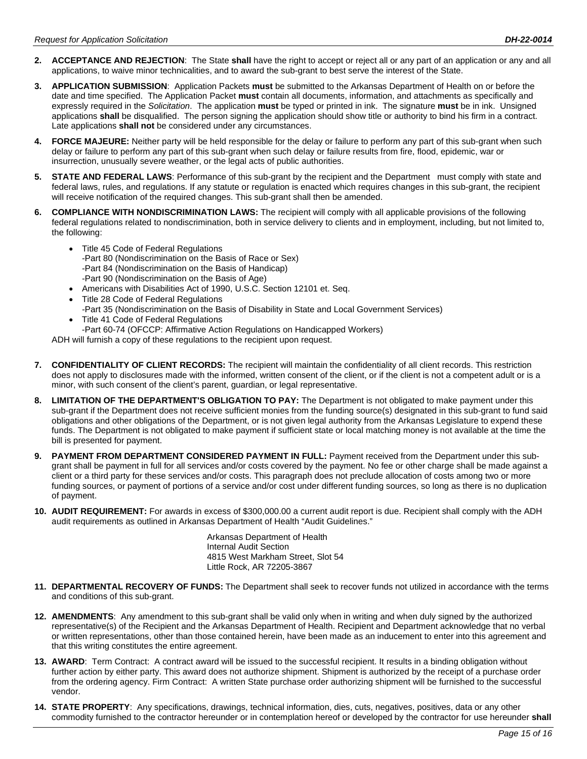- **2. ACCEPTANCE AND REJECTION**: The State **shall** have the right to accept or reject all or any part of an application or any and all applications, to waive minor technicalities, and to award the sub-grant to best serve the interest of the State.
- **3. APPLICATION SUBMISSION**: Application Packets **must** be submitted to the Arkansas Department of Health on or before the date and time specified. The Application Packet **must** contain all documents, information, and attachments as specifically and expressly required in the *Solicitation*. The application **must** be typed or printed in ink. The signature **must** be in ink. Unsigned applications **shall** be disqualified. The person signing the application should show title or authority to bind his firm in a contract. Late applications **shall not** be considered under any circumstances.
- **4. FORCE MAJEURE:** Neither party will be held responsible for the delay or failure to perform any part of this sub-grant when such delay or failure to perform any part of this sub-grant when such delay or failure results from fire, flood, epidemic, war or insurrection, unusually severe weather, or the legal acts of public authorities.
- **5. STATE AND FEDERAL LAWS**: Performance of this sub-grant by the recipient and the Department must comply with state and federal laws, rules, and regulations. If any statute or regulation is enacted which requires changes in this sub-grant, the recipient will receive notification of the required changes. This sub-grant shall then be amended.
- **6. COMPLIANCE WITH NONDISCRIMINATION LAWS:** The recipient will comply with all applicable provisions of the following federal regulations related to nondiscrimination, both in service delivery to clients and in employment, including, but not limited to, the following:
	- Title 45 Code of Federal Regulations -Part 80 (Nondiscrimination on the Basis of Race or Sex) -Part 84 (Nondiscrimination on the Basis of Handicap)
		- -Part 90 (Nondiscrimination on the Basis of Age)
	- Americans with Disabilities Act of 1990, U.S.C. Section 12101 et. Seq.
	- Title 28 Code of Federal Regulations -Part 35 (Nondiscrimination on the Basis of Disability in State and Local Government Services)
	- Title 41 Code of Federal Regulations
	- -Part 60-74 (OFCCP: Affirmative Action Regulations on Handicapped Workers)

ADH will furnish a copy of these regulations to the recipient upon request.

- **7. CONFIDENTIALITY OF CLIENT RECORDS:** The recipient will maintain the confidentiality of all client records. This restriction does not apply to disclosures made with the informed, written consent of the client, or if the client is not a competent adult or is a minor, with such consent of the client's parent, guardian, or legal representative.
- **8. LIMITATION OF THE DEPARTMENT'S OBLIGATION TO PAY:** The Department is not obligated to make payment under this sub-grant if the Department does not receive sufficient monies from the funding source(s) designated in this sub-grant to fund said obligations and other obligations of the Department, or is not given legal authority from the Arkansas Legislature to expend these funds. The Department is not obligated to make payment if sufficient state or local matching money is not available at the time the bill is presented for payment.
- **9. PAYMENT FROM DEPARTMENT CONSIDERED PAYMENT IN FULL:** Payment received from the Department under this subgrant shall be payment in full for all services and/or costs covered by the payment. No fee or other charge shall be made against a client or a third party for these services and/or costs. This paragraph does not preclude allocation of costs among two or more funding sources, or payment of portions of a service and/or cost under different funding sources, so long as there is no duplication of payment.
- **10. AUDIT REQUIREMENT:** For awards in excess of \$300,000.00 a current audit report is due. Recipient shall comply with the ADH audit requirements as outlined in Arkansas Department of Health "Audit Guidelines."

Arkansas Department of Health Internal Audit Section 4815 West Markham Street, Slot 54 Little Rock, AR 72205-3867

- **11. DEPARTMENTAL RECOVERY OF FUNDS:** The Department shall seek to recover funds not utilized in accordance with the terms and conditions of this sub-grant.
- **12. AMENDMENTS**: Any amendment to this sub-grant shall be valid only when in writing and when duly signed by the authorized representative(s) of the Recipient and the Arkansas Department of Health. Recipient and Department acknowledge that no verbal or written representations, other than those contained herein, have been made as an inducement to enter into this agreement and that this writing constitutes the entire agreement.
- **13. AWARD**: Term Contract: A contract award will be issued to the successful recipient. It results in a binding obligation without further action by either party. This award does not authorize shipment. Shipment is authorized by the receipt of a purchase order from the ordering agency. Firm Contract: A written State purchase order authorizing shipment will be furnished to the successful vendor.
- **14. STATE PROPERTY**: Any specifications, drawings, technical information, dies, cuts, negatives, positives, data or any other commodity furnished to the contractor hereunder or in contemplation hereof or developed by the contractor for use hereunder **shall**